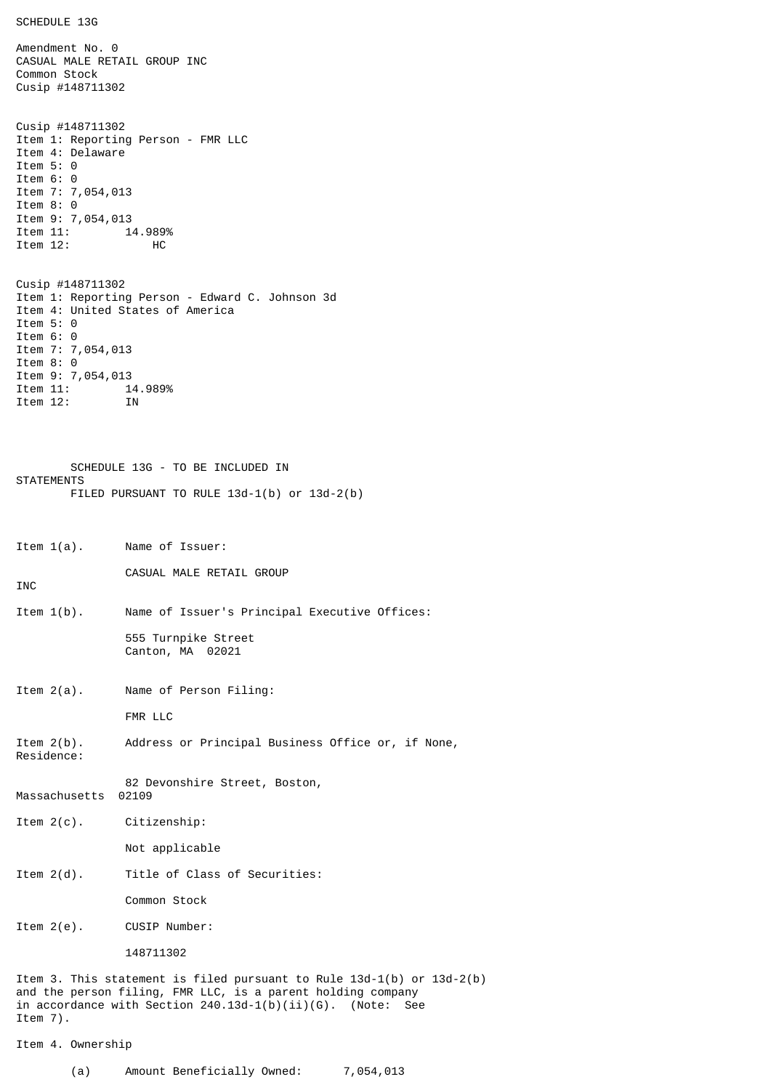SCHEDULE 13G Amendment No. 0 CASUAL MALE RETAIL GROUP INC Common Stock Cusip #148711302 Cusip #148711302 Item 1: Reporting Person - FMR LLC Item 4: Delaware Item 5: 0 Item 6: 0 Item 7: 7,054,013 Item 8: 0 Item 9: 7,054,013<br>Item 11: 14.989% Item 11: Item 12: HC Cusip #148711302 Item 1: Reporting Person - Edward C. Johnson 3d Item 4: United States of America Item 5: 0 Item 6: 0 Item 7: 7,054,013 Item 8: 0 Item 9: 7,054,013<br>Item 11: 14.989% Item 11: Item 12: IN SCHEDULE 13G - TO BE INCLUDED IN **STATEMENTS** FILED PURSUANT TO RULE 13d-1(b) or 13d-2(b) Item 1(a). Name of Issuer: CASUAL MALE RETAIL GROUP INC Item 1(b). Name of Issuer's Principal Executive Offices: 555 Turnpike Street Canton, MA 02021 Item 2(a). Name of Person Filing: FMR LLC Item 2(b). Address or Principal Business Office or, if None, Residence: 82 Devonshire Street, Boston, Massachusetts 02109 Item 2(c). Citizenship: Not applicable Item 2(d). Title of Class of Securities: Common Stock Item 2(e). CUSIP Number: 148711302 Item 3. This statement is filed pursuant to Rule 13d-1(b) or 13d-2(b) and the person filing, FMR LLC, is a parent holding company in accordance with Section 240.13d-1(b)(ii)(G). (Note: See Item 7).

Item 4. Ownership

(a) Amount Beneficially Owned: 7,054,013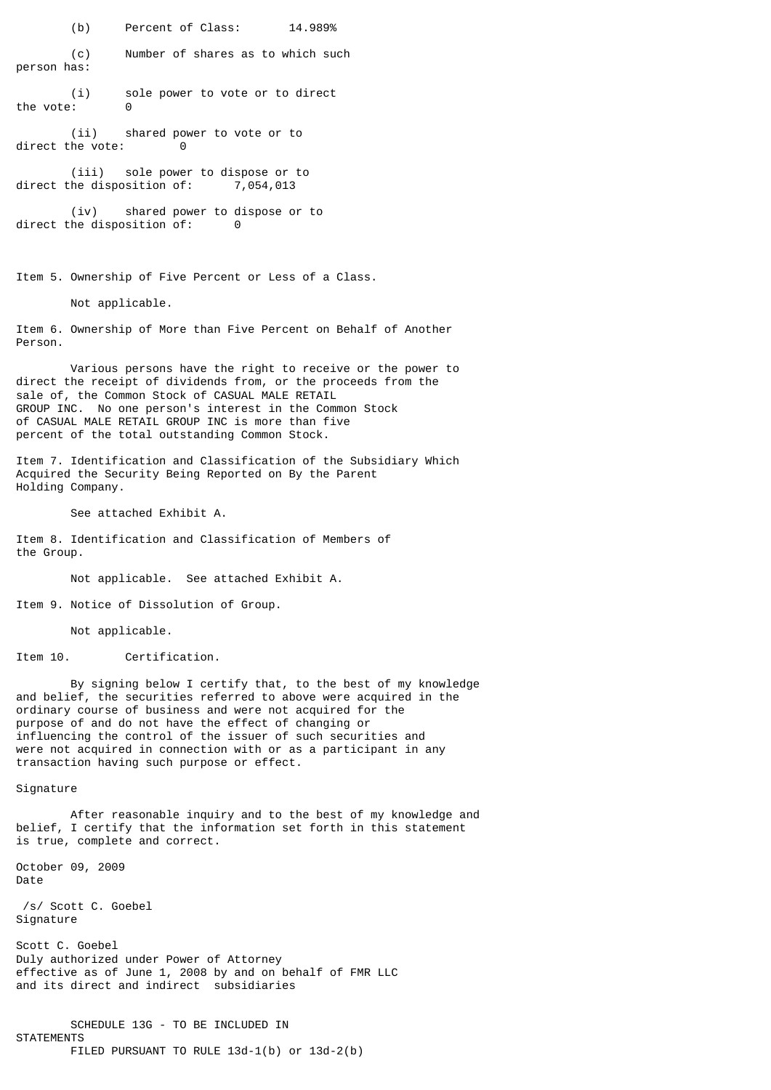(b) Percent of Class: 14.989%

(c) Number of shares as to which such person has:

(i) sole power to vote or to direct the vote: 0

 $(i)$  shared power to vote or to<br>he vote:  $0$ direct the vote:

(iii) sole power to dispose or to direct the disposition of: 7,054,013

(iv) shared power to dispose or to direct the disposition of: 0

Item 5. Ownership of Five Percent or Less of a Class.

Not applicable.

Item 6. Ownership of More than Five Percent on Behalf of Another Person.

Various persons have the right to receive or the power to direct the receipt of dividends from, or the proceeds from the sale of, the Common Stock of CASUAL MALE RETAIL GROUP INC. No one person's interest in the Common Stock of CASUAL MALE RETAIL GROUP INC is more than five percent of the total outstanding Common Stock.

Item 7. Identification and Classification of the Subsidiary Which Acquired the Security Being Reported on By the Parent Holding Company.

See attached Exhibit A.

Item 8. Identification and Classification of Members of the Group.

Not applicable. See attached Exhibit A.

Item 9. Notice of Dissolution of Group.

Not applicable.

Item 10. Certification.

By signing below I certify that, to the best of my knowledge and belief, the securities referred to above were acquired in the ordinary course of business and were not acquired for the purpose of and do not have the effect of changing or influencing the control of the issuer of such securities and were not acquired in connection with or as a participant in any transaction having such purpose or effect.

Signature

After reasonable inquiry and to the best of my knowledge and belief, I certify that the information set forth in this statement is true, complete and correct.

October 09, 2009 Date

 /s/ Scott C. Goebel Signature

Scott C. Goebel Duly authorized under Power of Attorney effective as of June 1, 2008 by and on behalf of FMR LLC and its direct and indirect subsidiaries

SCHEDULE 13G - TO BE INCLUDED IN **STATEMENTS** FILED PURSUANT TO RULE 13d-1(b) or 13d-2(b)